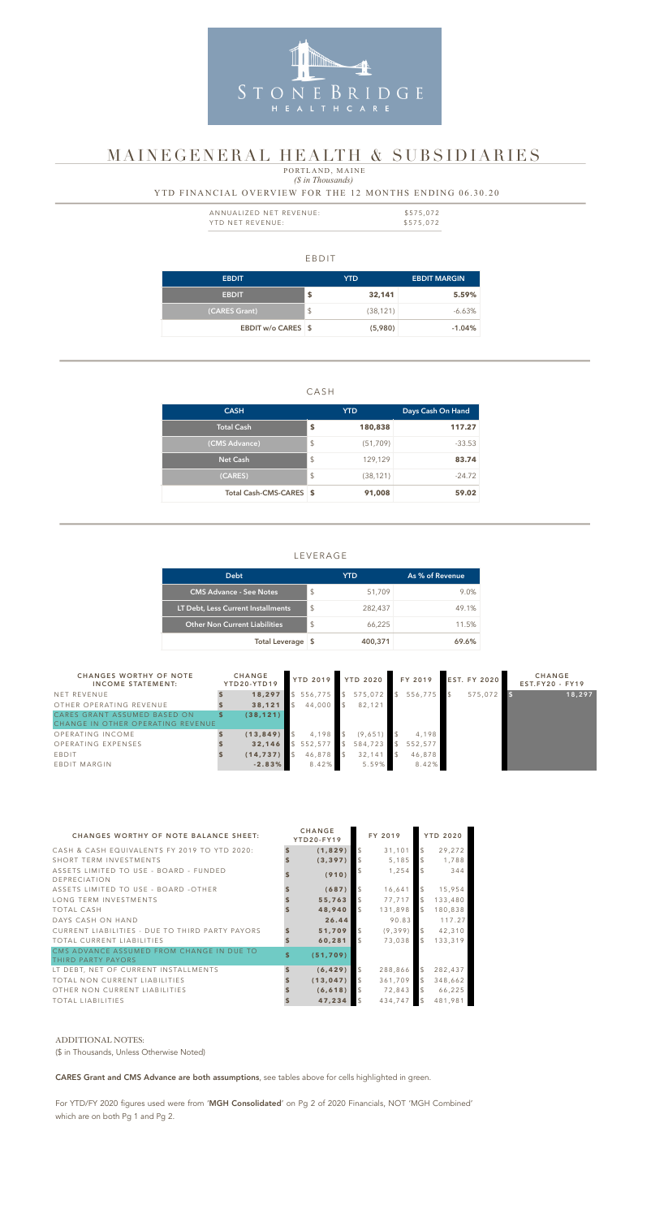#### EBDIT

| <b>EBDIT</b>              |               | YTD       | <b>EBDIT MARGIN</b> |
|---------------------------|---------------|-----------|---------------------|
| <b>EBDIT</b>              | \$            | 32,141    | 5.59%               |
| (CARES Grant)             | $\frac{1}{2}$ | (38, 121) | $-6.63\%$           |
| <b>EBDIT w/o CARES \$</b> |               | (5,980)   | $-1.04%$            |

#### CASH

| <b>CASH</b>             |                         | <b>YTD</b> | Days Cash On Hand |  |  |
|-------------------------|-------------------------|------------|-------------------|--|--|
| <b>Total Cash</b>       | \$                      | 180,838    | 117.27            |  |  |
| (CMS Advance)           | \$                      | (51, 709)  | $-33.53$          |  |  |
| <b>Net Cash</b>         | $\sqrt[6]{\frac{1}{2}}$ | 129,129    | 83.74             |  |  |
| (CARES)                 | $\sqrt[6]{\frac{1}{2}}$ | (38, 121)  | $-24.72$          |  |  |
| Total Cash-CMS-CARES \$ |                         | 91,008     | 59.02             |  |  |

| ANNUALIZED NET REVENUE: | \$575,072 |
|-------------------------|-----------|
| YTD NET REVENUE:        | \$575,072 |

### LEVERAGE

### *(\$ in Thousands)* YTD FINANCIAL OVERVIEW FOR THE 12 MONTHS ENDING 06.30.20 PORTLAND, MAINE

| <b>Debt</b>                          |               | YTD.    | As % of Revenue |
|--------------------------------------|---------------|---------|-----------------|
| <b>CMS Advance - See Notes</b>       | $\mathcal{S}$ | 51,709  | $9.0\%$         |
| LT Debt, Less Current Installments   | $\mathcal{L}$ | 282,437 | 49.1%           |
| <b>Other Non Current Liabilities</b> | $\mathcal{S}$ | 66,225  | 11.5%           |
| Total Leverage \$                    |               | 400,371 | 69.6%           |



# MAINEGENERAL HEALTH & SUBSIDIARIES

| <b>CHANGES WORTHY OF NOTE</b><br><b>INCOME STATEMENT:</b>         | <b>CHANGE</b><br>YTD20-YTD19 | <b>YTD 2019</b> |               | <b>YTD 2020</b> | FY 2019 | <b>EST. FY 2020</b> | <b>CHANGE</b><br>$EST.FY20 - FY19$ |
|-------------------------------------------------------------------|------------------------------|-----------------|---------------|-----------------|---------|---------------------|------------------------------------|
| NET REVENUE                                                       | 18,297                       | 556,775         |               | 575,072         | 556,775 | 575,072             | 18,297                             |
| OTHER OPERATING REVENUE                                           | 38,121                       | 44,000          | $\mathcal{S}$ | 82,121          |         |                     |                                    |
| CARES GRANT ASSUMED BASED ON<br>CHANGE IN OTHER OPERATING REVENUE | (38, 121)                    |                 |               |                 |         |                     |                                    |
| OPERATING INCOME                                                  | (13, 849)                    | 4,198           |               | (9,651)         | 4,198   |                     |                                    |
| OPERATING EXPENSES                                                | 32,146                       | \$552,577       |               | 584,723         | 552,577 |                     |                                    |
| EBDIT                                                             | (14, 737)                    | 46,878          |               | 32,141          | 46,878  |                     |                                    |
| EBDIT MARGIN                                                      | $-2.83%$                     | 8.42%           |               | 5.59%           | 8.42%   |                     |                                    |

| <b>CHANGES WORTHY OF NOTE BALANCE SHEET:</b>                    |                         | <b>CHANGE</b><br><b>YTD20-FY19</b> |                | FY 2019  |                | <b>YTD 2020</b> |
|-----------------------------------------------------------------|-------------------------|------------------------------------|----------------|----------|----------------|-----------------|
| CASH & CASH EQUIVALENTS FY 2019 TO YTD 2020:                    | \$                      | (1,829)                            | \$             | 31,101   | $\frac{1}{2}$  | 29,272          |
| SHORT TERM INVESTMENTS                                          |                         | (3, 397)                           | \$             | 5,185    | \$             | 1,788           |
| ASSETS LIMITED TO USE - BOARD - FUNDED<br>DEPRECIATION          |                         | (910)                              | \$             | 1,254    | $\mathfrak{L}$ | 344             |
| ASSETS LIMITED TO USE - BOARD -OTHER                            |                         | (687)                              | $\mathfrak{S}$ | 16,641   | $\mathcal{L}$  | 15,954          |
| LONG TERM INVESTMENTS                                           |                         | 55,763                             | \$             | 77,717   | $\mathcal{L}$  | 133,480         |
| <b>TOTAL CASH</b>                                               |                         | 48,940                             | $\mathfrak{L}$ | 131,898  | $\mathfrak{S}$ | 180,838         |
| DAYS CASH ON HAND                                               |                         | 26.44                              |                | 90.83    |                | 117.27          |
| CURRENT LIABILITIES - DUE TO THIRD PARTY PAYORS                 |                         | 51,709                             | \$             | (9, 399) | $\frac{1}{2}$  | 42,310          |
| TOTAL CURRENT LIABILITIES                                       |                         | 60,281                             | $\mathcal{L}$  | 73,038   | $\mathcal{L}$  | 133,319         |
| CMS ADVANCE ASSUMED FROM CHANGE IN DUE TO<br>THIRD PARTY PAYORS | $\overline{\mathbb{S}}$ | (51, 709)                          |                |          |                |                 |
| LT DEBT, NET OF CURRENT INSTALLMENTS                            | $\mathbf{s}$            | (6, 429)                           | \$             | 288,866  | $\frac{1}{2}$  | 282,437         |
| TOTAL NON CURRENT LIABILITIES                                   |                         | (13, 047)                          | $\sqrt{2}$     | 361,709  | $\mathcal{L}$  | 348,662         |
| OTHER NON CURRENT LIABILITIES                                   |                         | (6, 618)                           | $\sqrt{5}$     | 72,843   | $\mathcal{L}$  | 66,225          |
| <b>TOTAL LIABILITIES</b>                                        |                         | 47,234                             | $\sqrt{3}$     | 434,747  | $\mathcal{L}$  | 481,981         |

#### ADDITIONAL NOTES:

(\$ in Thousands, Unless Otherwise Noted)

CARES Grant and CMS Advance are both assumptions, see tables above for cells highlighted in green.

For YTD/FY 2020 figures used were from 'MGH Consolidated' on Pg 2 of 2020 Financials, NOT 'MGH Combined' which are on both Pg 1 and Pg 2.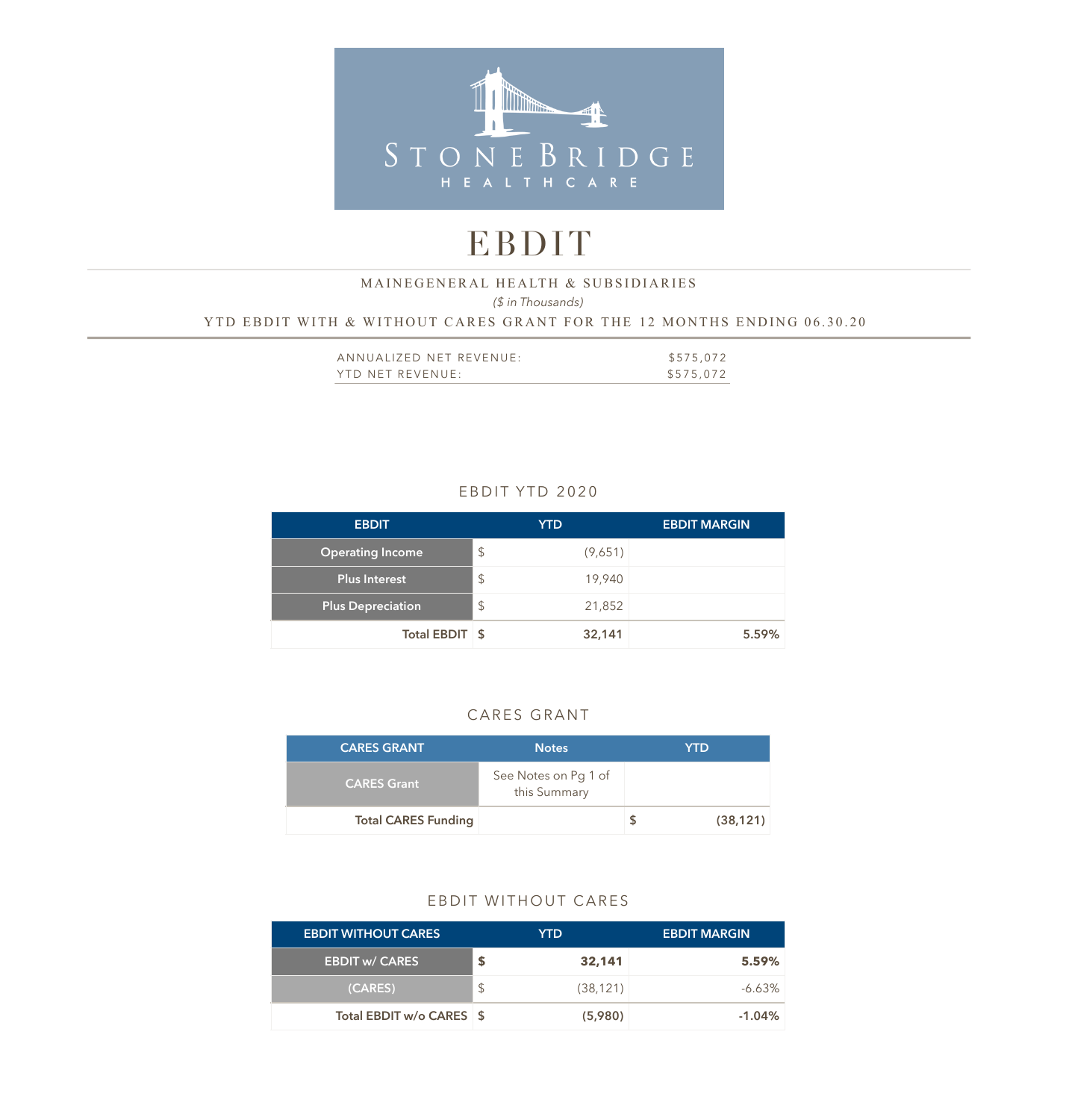

# EBDIT

### *(\$ in Thousands)*  YTD EBDIT WITH & WITHOUT CARES GRANT FOR THE 12 MONTHS ENDING 06.30.20 MAINEGENERAL HEALTH & SUBSIDIARIES

| ANNUALIZED NET REVENUE: | \$575,072 |
|-------------------------|-----------|
| YTD NET REVENUE:        | \$575,072 |

# EBDIT YTD 2020

| <b>EBDIT</b>             |               | <b>YTD</b> | <b>EBDIT MARGIN</b> |
|--------------------------|---------------|------------|---------------------|
| <b>Operating Income</b>  | $\frac{1}{2}$ | (9,651)    |                     |
| Plus Interest            | \$            | 19,940     |                     |
| <b>Plus Depreciation</b> | $\frac{1}{2}$ | 21,852     |                     |
| Total EBDIT \$           |               | 32,141     | 5.59%               |

## CARES GRANT

| <b>CARES GRANT</b>         | <b>Notes</b>                         | YTD       |
|----------------------------|--------------------------------------|-----------|
| <b>CARES Grant</b>         | See Notes on Pg 1 of<br>this Summary |           |
| <b>Total CARES Funding</b> |                                      | (38, 121) |

#### EBDIT WITHOUT CARES

| <b>EBDIT WITHOUT CARES</b> |               | YTD.      | <b>EBDIT MARGIN</b> |
|----------------------------|---------------|-----------|---------------------|
| <b>EBDIT w/ CARES</b>      |               | 32,141    | 5.59%               |
| (CARES)                    | $\mathcal{L}$ | (38, 121) | $-6.63\%$           |
| Total EBDIT w/o CARES \$   |               | (5,980)   | $-1.04\%$           |